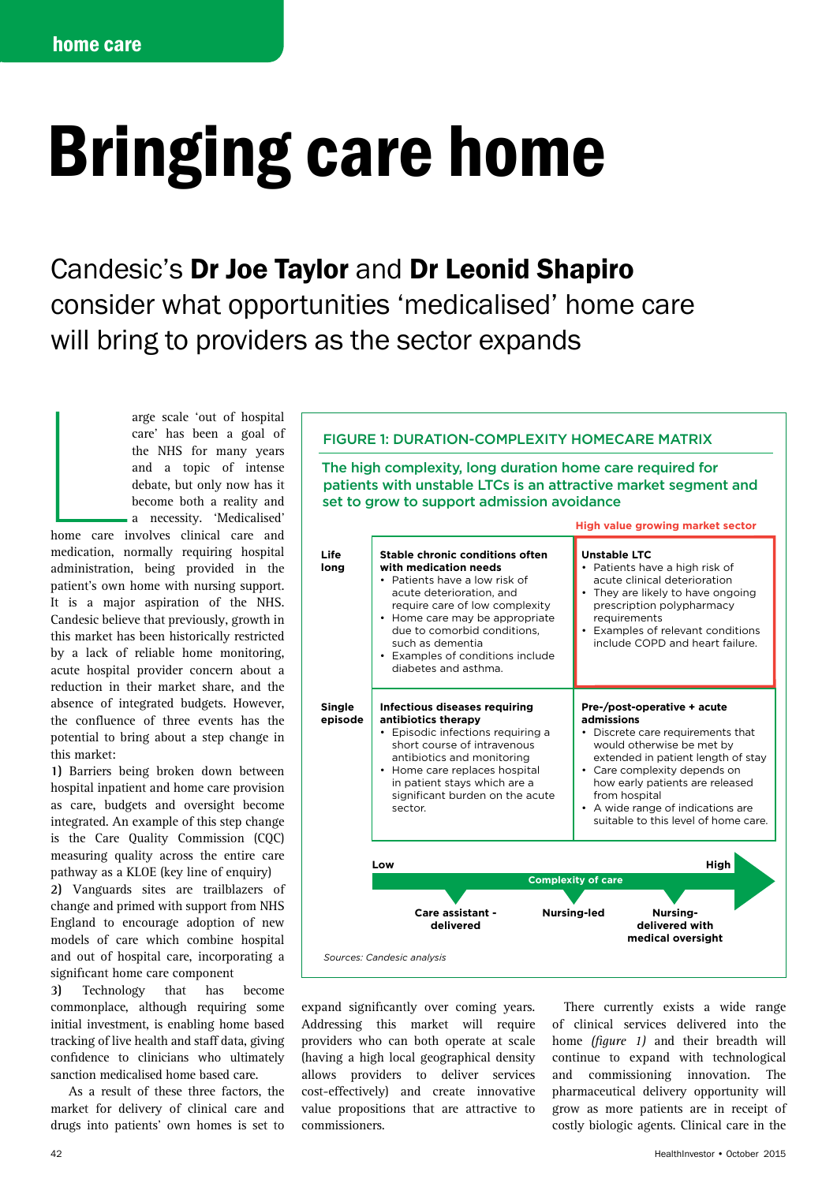# Bringing care home

# Candesic's Dr Joe Taylor and Dr Leonid Shapiro consider what opportunities 'medicalised' home care will bring to providers as the sector expands

home care in arge scale 'out of hospital care' has been a goal of the NHS for many years and a topic of intense debate, but only now has it become both a reality and a necessity. 'Medicalised' home care involves clinical care and medication, normally requiring hospital administration, being provided in the patient's own home with nursing support. It is a major aspiration of the NHS. Candesic believe that previously, growth in this market has been historically restricted by a lack of reliable home monitoring, acute hospital provider concern about a reduction in their market share, and the absence of integrated budgets. However, the confluence of three events has the potential to bring about a step change in this market:

**1)** Barriers being broken down between hospital inpatient and home care provision as care, budgets and oversight become integrated. An example of this step change is the Care Quality Commission (CQC) measuring quality across the entire care pathway as a KLOE (key line of enquiry)

**2)** Vanguards sites are trailblazers of change and primed with support from NHS England to encourage adoption of new models of care which combine hospital and out of hospital care, incorporating a significant home care component

**3)** Technology that has become commonplace, although requiring some initial investment, is enabling home based tracking of live health and staff data, giving confidence to clinicians who ultimately sanction medicalised home based care.

 As a result of these three factors, the market for delivery of clinical care and drugs into patients' own homes is set to

# FIGURE 1: DURATION-COMPLEXITY HOMECARE MATRIX

The high complexity, long duration home care required for patients with unstable LTCs is an attractive market segment and set to grow to support admission avoidance



expand significantly over coming years. Addressing this market will require providers who can both operate at scale (having a high local geographical density allows providers to deliver services cost-effectively) and create innovative value propositions that are attractive to commissioners.

There currently exists a wide range of clinical services delivered into the home *(figure 1)* and their breadth will continue to expand with technological and commissioning innovation. The pharmaceutical delivery opportunity will grow as more patients are in receipt of costly biologic agents. Clinical care in the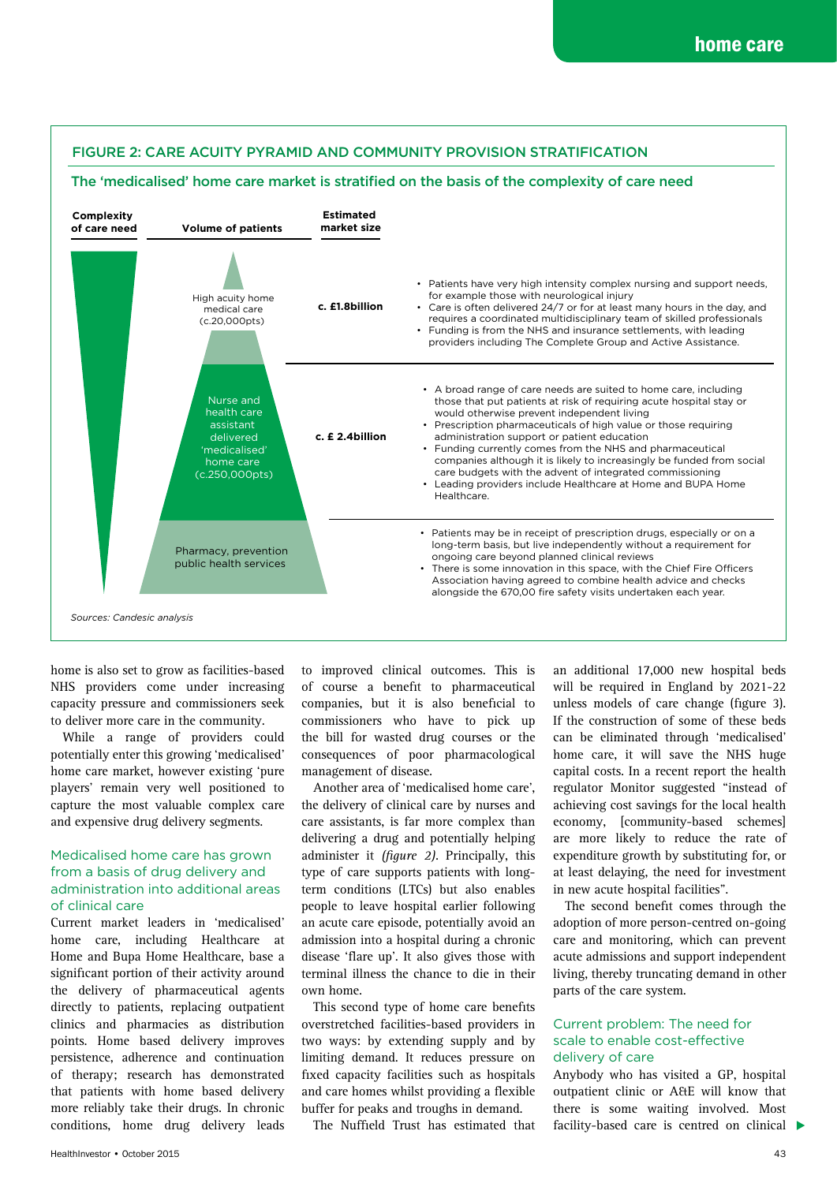## FIGURE 2: CARE ACUITY PYRAMID AND COMMUNITY PROVISION STRATIFICATION

#### The 'medicalised' home care market is stratified on the basis of the complexity of care need



home is also set to grow as facilities-based NHS providers come under increasing capacity pressure and commissioners seek to deliver more care in the community.

While a range of providers could potentially enter this growing 'medicalised' home care market, however existing 'pure players' remain very well positioned to capture the most valuable complex care and expensive drug delivery segments.

#### Medicalised home care has grown from a basis of drug delivery and administration into additional areas of clinical care

Current market leaders in 'medicalised' home care, including Healthcare at Home and Bupa Home Healthcare, base a significant portion of their activity around the delivery of pharmaceutical agents directly to patients, replacing outpatient clinics and pharmacies as distribution points. Home based delivery improves persistence, adherence and continuation of therapy; research has demonstrated that patients with home based delivery more reliably take their drugs. In chronic conditions, home drug delivery leads

to improved clinical outcomes. This is of course a benefit to pharmaceutical companies, but it is also beneficial to commissioners who have to pick up the bill for wasted drug courses or the consequences of poor pharmacological management of disease.

Another area of 'medicalised home care', the delivery of clinical care by nurses and care assistants, is far more complex than delivering a drug and potentially helping administer it *(figure 2)*. Principally, this type of care supports patients with longterm conditions (LTCs) but also enables people to leave hospital earlier following an acute care episode, potentially avoid an admission into a hospital during a chronic disease 'flare up'. It also gives those with terminal illness the chance to die in their own home.

This second type of home care benefits overstretched facilities-based providers in two ways: by extending supply and by limiting demand. It reduces pressure on fixed capacity facilities such as hospitals and care homes whilst providing a flexible buffer for peaks and troughs in demand.

The Nuffield Trust has estimated that

an additional 17,000 new hospital beds will be required in England by 2021-22 unless models of care change (figure 3). If the construction of some of these beds can be eliminated through 'medicalised' home care, it will save the NHS huge capital costs. In a recent report the health regulator Monitor suggested "instead of achieving cost savings for the local health economy, [community-based schemes] are more likely to reduce the rate of expenditure growth by substituting for, or at least delaying, the need for investment in new acute hospital facilities".

The second benefit comes through the adoption of more person-centred on-going care and monitoring, which can prevent acute admissions and support independent living, thereby truncating demand in other parts of the care system.

#### Current problem: The need for scale to enable cost-effective delivery of care

facility-based care is centred on clinical  $\blacktriangleright$ Anybody who has visited a GP, hospital outpatient clinic or A&E will know that there is some waiting involved. Most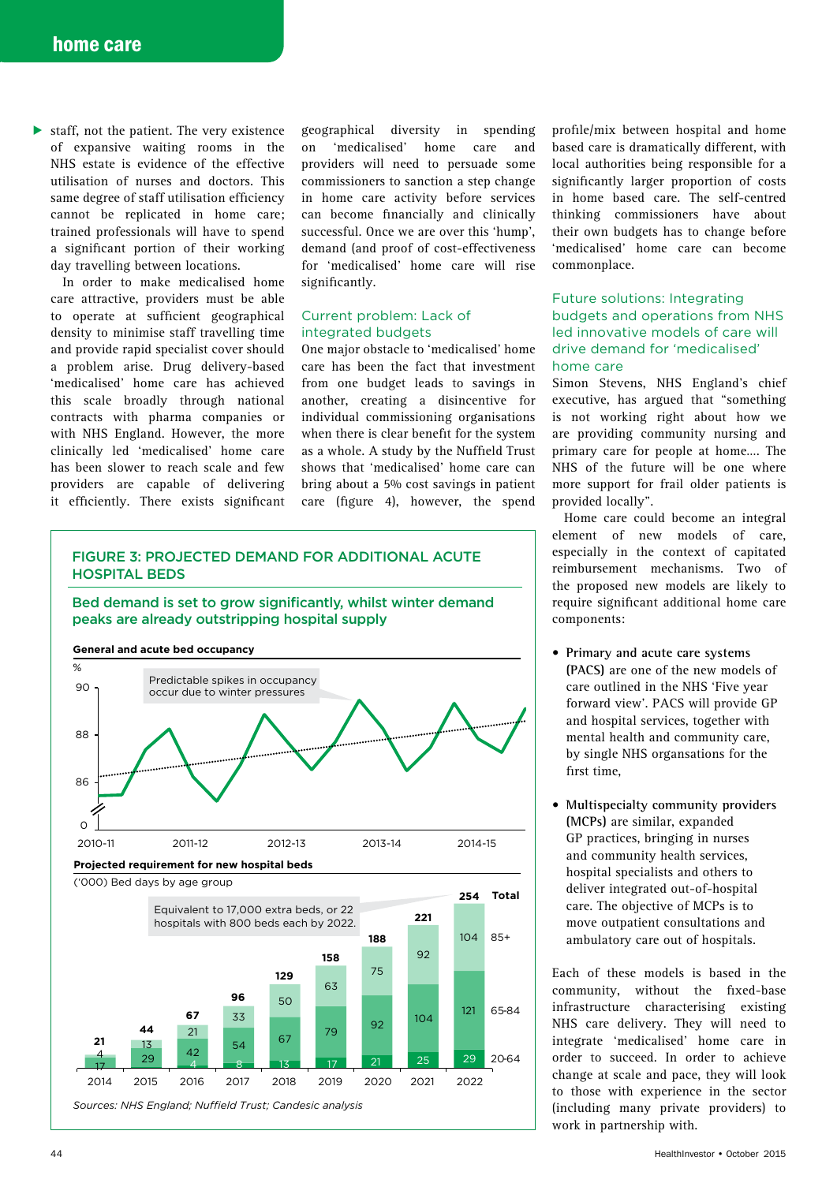▶ staff, not the patient. The very existence of expansive waiting rooms in the NHS estate is evidence of the effective utilisation of nurses and doctors. This same degree of staff utilisation efficiency cannot be replicated in home care; trained professionals will have to spend a significant portion of their working day travelling between locations.

In order to make medicalised home care attractive, providers must be able to operate at sufficient geographical density to minimise staff travelling time and provide rapid specialist cover should a problem arise. Drug delivery-based 'medicalised' home care has achieved this scale broadly through national contracts with pharma companies or with NHS England. However, the more clinically led 'medicalised' home care has been slower to reach scale and few providers are capable of delivering it efficiently. There exists significant

geographical diversity in spending on 'medicalised' home care and providers will need to persuade some commissioners to sanction a step change in home care activity before services can become financially and clinically successful. Once we are over this 'hump', demand (and proof of cost-effectiveness for 'medicalised' home care will rise significantly.

#### Current problem: Lack of integrated budgets

One major obstacle to 'medicalised' home care has been the fact that investment from one budget leads to savings in another, creating a disincentive for individual commissioning organisations when there is clear benefit for the system as a whole. A study by the Nuffield Trust shows that 'medicalised' home care can bring about a 5% cost savings in patient care (figure 4), however, the spend

profile/mix between hospital and home based care is dramatically different, with local authorities being responsible for a significantly larger proportion of costs in home based care. The self-centred thinking commissioners have about their own budgets has to change before 'medicalised' home care can become commonplace.

#### Future solutions: Integrating budgets and operations from NHS led innovative models of care will drive demand for 'medicalised' home care

Simon Stevens, NHS England's chief executive, has argued that "something is not working right about how we are providing community nursing and primary care for people at home…. The NHS of the future will be one where more support for frail older patients is provided locally".

Home care could become an integral element of new models of care, especially in the context of capitated reimbursement mechanisms. Two of the proposed new models are likely to require significant additional home care components:

- **Primary and acute care systems (PACS)** are one of the new models of care outlined in the NHS 'Five year forward view'. PACS will provide GP and hospital services, together with mental health and community care, by single NHS organsations for the first time,
- **Multispecialty community providers (MCPs)** are similar, expanded GP practices, bringing in nurses and community health services, hospital specialists and others to deliver integrated out-of-hospital care. The objective of MCPs is to move outpatient consultations and ambulatory care out of hospitals.

Each of these models is based in the community, without the fixed-base infrastructure characterising existing NHS care delivery. They will need to integrate 'medicalised' home care in order to succeed. In order to achieve change at scale and pace, they will look to those with experience in the sector (including many private providers) to work in partnership with.

65-84

 $20 - 64$ 

# FIGURE 3: PROJECTED DEMAND FOR ADDITIONAL ACUTE HOSPITAL BEDS

Bed demand is set to grow significantly, whilst winter demand peaks are already outstripping hospital supply



*Sources: NHS England; Nuffield Trust; Candesic analysis* 4 29 4 8 13 17 21 25 29 <sup>29</sup> <sup>42</sup> <sup>54</sup> <sup>67</sup> <sup>79</sup> <sup>92</sup> <sup>104</sup> 121 4 13 21 33 50 2014 2015 2016 2017 2018 2019 2020 2021 2022 **21 44 67**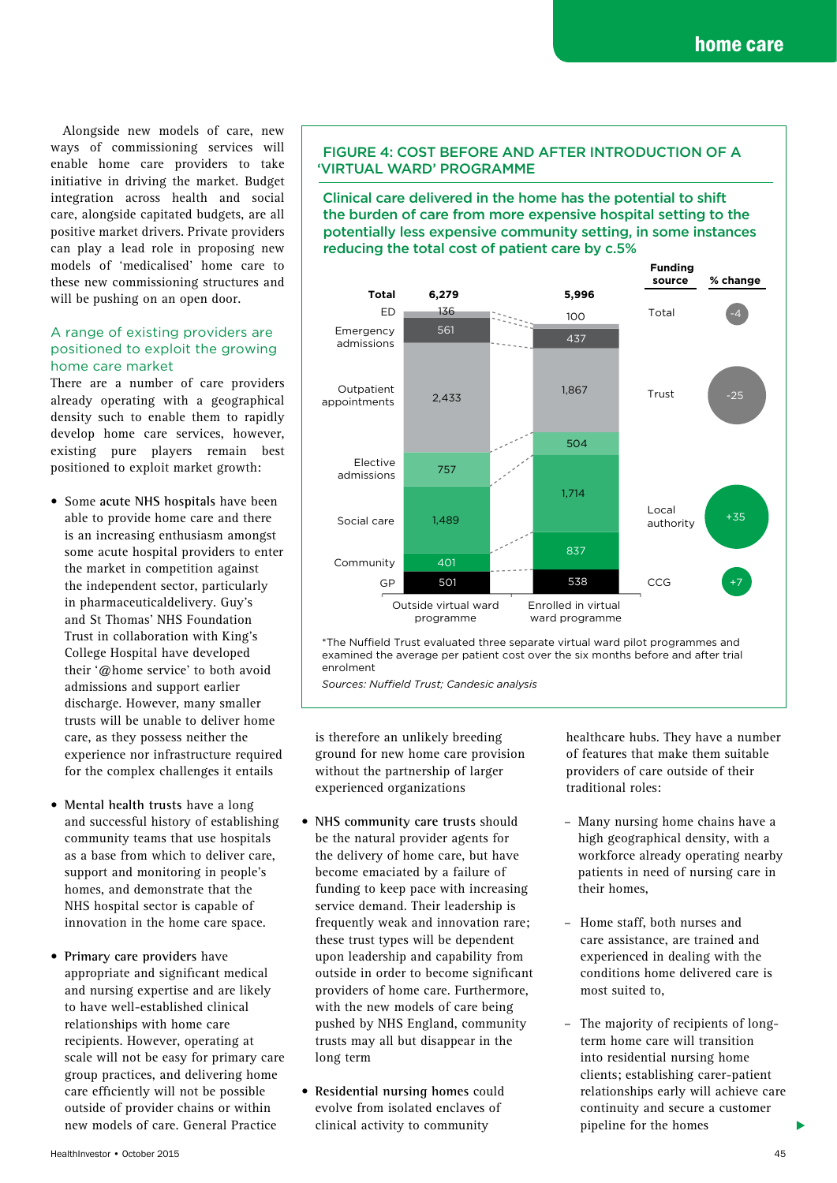Alongside new models of care, new ways of commissioning services will enable home care providers to take initiative in driving the market. Budget integration across health and social care, alongside capitated budgets, are all positive market drivers. Private providers can play a lead role in proposing new models of 'medicalised' home care to these new commissioning structures and will be pushing on an open door.

## A range of existing providers are positioned to exploit the growing home care market

There are a number of care providers already operating with a geographical density such to enable them to rapidly develop home care services, however, existing pure players remain best positioned to exploit market growth:

- Some **acute NHS hospitals** have been able to provide home care and there is an increasing enthusiasm amongst some acute hospital providers to enter the market in competition against the independent sector, particularly in pharmaceuticaldelivery. Guy's and St Thomas' NHS Foundation Trust in collaboration with King's College Hospital have developed their '@home service' to both avoid admissions and support earlier discharge. However, many smaller trusts will be unable to deliver home care, as they possess neither the experience nor infrastructure required for the complex challenges it entails
- **Mental health trusts** have a long and successful history of establishing community teams that use hospitals as a base from which to deliver care, support and monitoring in people's homes, and demonstrate that the NHS hospital sector is capable of innovation in the home care space.
- **Primary care providers** have appropriate and significant medical and nursing expertise and are likely to have well-established clinical relationships with home care recipients. However, operating at scale will not be easy for primary care group practices, and delivering home care efficiently will not be possible outside of provider chains or within new models of care. General Practice

#### FIGURE 4: COST BEFORE AND AFTER INTRODUCTION OF A 'VIRTUAL WARD' PROGRAMME

Clinical care delivered in the home has the potential to shift the burden of care from more expensive hospital setting to the potentially less expensive community setting, in some instances reducing the total cost of patient care by c.5%



\*The Nuffield Trust evaluated three separate virtual ward pilot programmes and examined the average per patient cost over the six months before and after trial enrolment

*Sources: Nuffield Trust; Candesic analysis*

is therefore an unlikely breeding ground for new home care provision without the partnership of larger experienced organizations

- **NHS community care trusts** should be the natural provider agents for the delivery of home care, but have become emaciated by a failure of funding to keep pace with increasing service demand. Their leadership is frequently weak and innovation rare; these trust types will be dependent upon leadership and capability from outside in order to become significant providers of home care. Furthermore, with the new models of care being pushed by NHS England, community trusts may all but disappear in the long term
- **Residential nursing homes** could evolve from isolated enclaves of clinical activity to community

healthcare hubs. They have a number of features that make them suitable providers of care outside of their traditional roles:

- Many nursing home chains have a high geographical density, with a workforce already operating nearby patients in need of nursing care in their homes,
- Home staff, both nurses and care assistance, are trained and experienced in dealing with the conditions home delivered care is most suited to,
- The majority of recipients of longterm home care will transition into residential nursing home clients; establishing carer-patient relationships early will achieve care continuity and secure a customer pipeline for the homes

▶